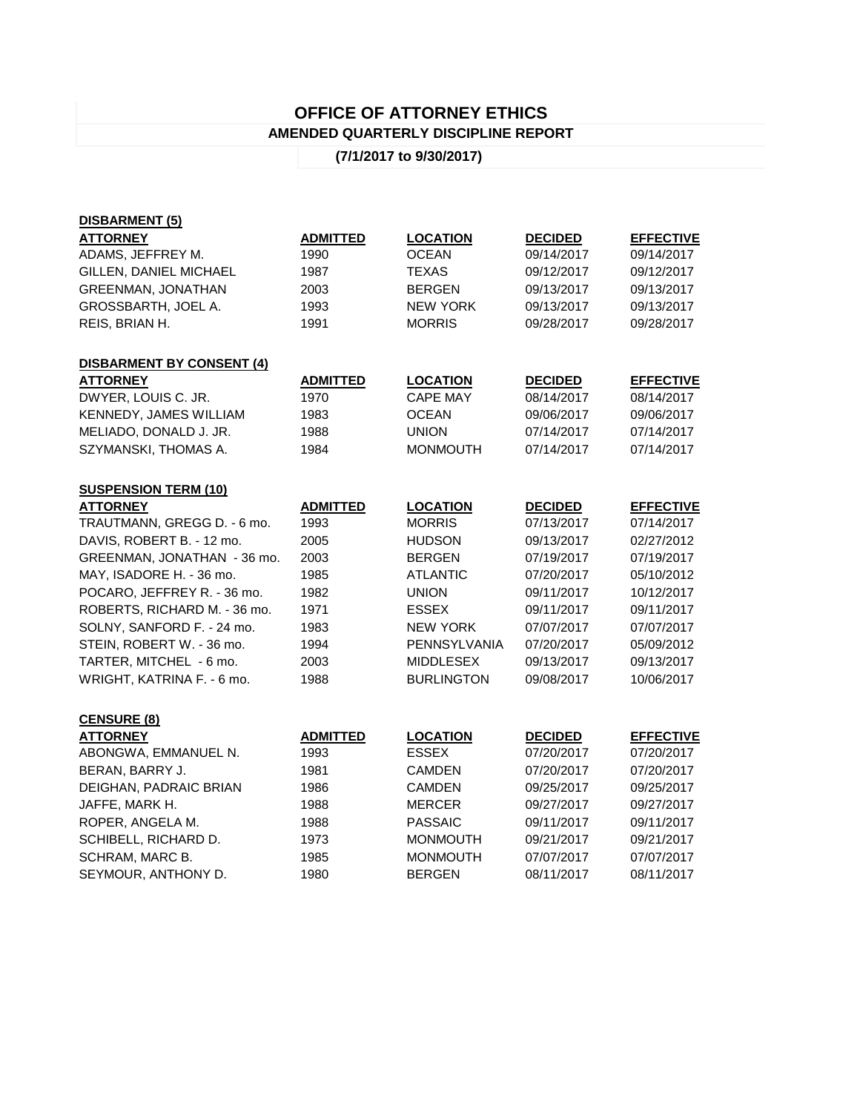## **OFFICE OF ATTORNEY ETHICS AMENDED QUARTERLY DISCIPLINE REPORT**

## **(7/1/2017 to 9/30/2017)**

| <b>DISBARMENT (5)</b>            |                 |                   |                |                  |
|----------------------------------|-----------------|-------------------|----------------|------------------|
| <b>ATTORNEY</b>                  | <b>ADMITTED</b> | <b>LOCATION</b>   | <b>DECIDED</b> | <b>EFFECTIVE</b> |
| ADAMS, JEFFREY M.                | 1990            | <b>OCEAN</b>      | 09/14/2017     | 09/14/2017       |
| GILLEN, DANIEL MICHAEL           | 1987            | TEXAS             | 09/12/2017     | 09/12/2017       |
| <b>GREENMAN, JONATHAN</b>        | 2003            | <b>BERGEN</b>     | 09/13/2017     | 09/13/2017       |
| GROSSBARTH, JOEL A.              | 1993            | <b>NEW YORK</b>   | 09/13/2017     | 09/13/2017       |
| REIS, BRIAN H.                   | 1991            | <b>MORRIS</b>     | 09/28/2017     | 09/28/2017       |
| <b>DISBARMENT BY CONSENT (4)</b> |                 |                   |                |                  |
| <b>ATTORNEY</b>                  | <b>ADMITTED</b> | <b>LOCATION</b>   | <b>DECIDED</b> | <b>EFFECTIVE</b> |
| DWYER, LOUIS C. JR.              | 1970            | <b>CAPE MAY</b>   | 08/14/2017     | 08/14/2017       |
| KENNEDY, JAMES WILLIAM           | 1983            | <b>OCEAN</b>      | 09/06/2017     | 09/06/2017       |
| MELIADO, DONALD J. JR.           | 1988            | <b>UNION</b>      | 07/14/2017     | 07/14/2017       |
| SZYMANSKI, THOMAS A.             | 1984            | <b>MONMOUTH</b>   | 07/14/2017     | 07/14/2017       |
| <b>SUSPENSION TERM (10)</b>      |                 |                   |                |                  |
| <b>ATTORNEY</b>                  | <b>ADMITTED</b> | <b>LOCATION</b>   | <b>DECIDED</b> | <b>EFFECTIVE</b> |
| TRAUTMANN, GREGG D. - 6 mo.      | 1993            | <b>MORRIS</b>     | 07/13/2017     | 07/14/2017       |
| DAVIS, ROBERT B. - 12 mo.        | 2005            | <b>HUDSON</b>     | 09/13/2017     | 02/27/2012       |
| GREENMAN, JONATHAN - 36 mo.      | 2003            | <b>BERGEN</b>     | 07/19/2017     | 07/19/2017       |
| MAY, ISADORE H. - 36 mo.         | 1985            | <b>ATLANTIC</b>   | 07/20/2017     | 05/10/2012       |
| POCARO, JEFFREY R. - 36 mo.      | 1982            | <b>UNION</b>      | 09/11/2017     | 10/12/2017       |
| ROBERTS, RICHARD M. - 36 mo.     | 1971            | <b>ESSEX</b>      | 09/11/2017     | 09/11/2017       |
| SOLNY, SANFORD F. - 24 mo.       | 1983            | <b>NEW YORK</b>   | 07/07/2017     | 07/07/2017       |
| STEIN, ROBERT W. - 36 mo.        | 1994            | PENNSYLVANIA      | 07/20/2017     | 05/09/2012       |
| TARTER, MITCHEL - 6 mo.          | 2003            | <b>MIDDLESEX</b>  | 09/13/2017     | 09/13/2017       |
| WRIGHT, KATRINA F. - 6 mo.       | 1988            | <b>BURLINGTON</b> | 09/08/2017     | 10/06/2017       |
| <b>CENSURE (8)</b>               |                 |                   |                |                  |
| <b>ATTORNEY</b>                  | <b>ADMITTED</b> | <b>LOCATION</b>   | <b>DECIDED</b> | <b>EFFECTIVE</b> |
| ABONGWA, EMMANUEL N.             | 1993            | <b>ESSEX</b>      | 07/20/2017     | 07/20/2017       |
| BERAN, BARRY J.                  | 1981            | CAMDEN            | 07/20/2017     | 07/20/2017       |
| DEIGHAN, PADRAIC BRIAN           | 1986            | <b>CAMDEN</b>     | 09/25/2017     | 09/25/2017       |
| JAFFE, MARK H.                   | 1988            | <b>MERCER</b>     | 09/27/2017     | 09/27/2017       |
| ROPER, ANGELA M.                 | 1988            | <b>PASSAIC</b>    | 09/11/2017     | 09/11/2017       |
| SCHIBELL, RICHARD D.             | 1973            | <b>MONMOUTH</b>   | 09/21/2017     | 09/21/2017       |
| SCHRAM, MARC B.                  | 1985            | <b>MONMOUTH</b>   | 07/07/2017     | 07/07/2017       |
| SEYMOUR, ANTHONY D.              | 1980            | <b>BERGEN</b>     | 08/11/2017     | 08/11/2017       |